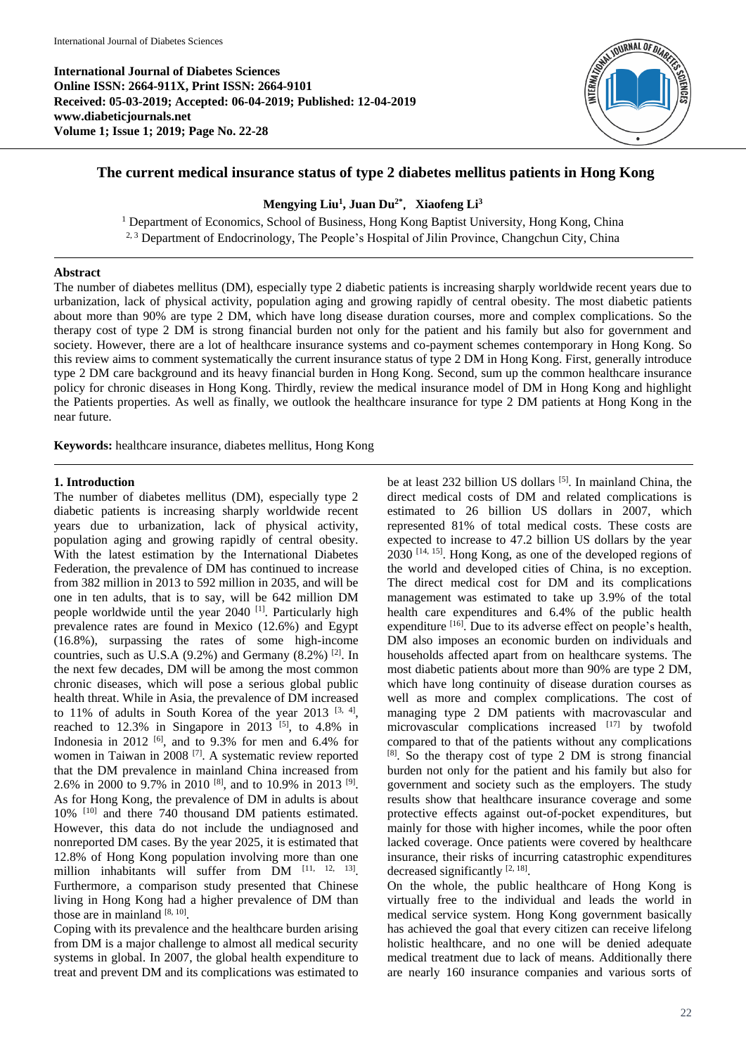

# **The current medical insurance status of type 2 diabetes mellitus patients in Hong Kong**

## **Mengying Liu<sup>1</sup> , Juan Du2\***, **Xiaofeng Li<sup>3</sup>**

<sup>1</sup> Department of Economics, School of Business, Hong Kong Baptist University, Hong Kong, China <sup>2, 3</sup> Department of Endocrinology, The People's Hospital of Jilin Province, Changchun City, China

## **Abstract**

The number of diabetes mellitus (DM), especially type 2 diabetic patients is increasing sharply worldwide recent years due to urbanization, lack of physical activity, population aging and growing rapidly of central obesity. The most diabetic patients about more than 90% are type 2 DM, which have long disease duration courses, more and complex complications. So the therapy cost of type 2 DM is strong financial burden not only for the patient and his family but also for government and society. However, there are a lot of healthcare insurance systems and co-payment schemes contemporary in Hong Kong. So this review aims to comment systematically the current insurance status of type 2 DM in Hong Kong. First, generally introduce type 2 DM care background and its heavy financial burden in Hong Kong. Second, sum up the common healthcare insurance policy for chronic diseases in Hong Kong. Thirdly, review the medical insurance model of DM in Hong Kong and highlight the Patients properties. As well as finally, we outlook the healthcare insurance for type 2 DM patients at Hong Kong in the near future.

**Keywords:** healthcare insurance, diabetes mellitus, Hong Kong

#### **1. Introduction**

The number of diabetes mellitus (DM), especially type 2 diabetic patients is increasing sharply worldwide recent years due to urbanization, lack of physical activity, population aging and growing rapidly of central obesity. With the latest estimation by the International Diabetes Federation, the prevalence of DM has continued to increase from 382 million in 2013 to 592 million in 2035, and will be one in ten adults, that is to say, will be 642 million DM people worldwide until the year 2040<sup>[1]</sup>. Particularly high prevalence rates are found in Mexico (12.6%) and Egypt (16.8%), surpassing the rates of some high-income countries, such as U.S.A  $(9.2\%)$  and Germany  $(8.2\%)$ <sup>[2]</sup>. In the next few decades, DM will be among the most common chronic diseases, which will pose a serious global public health threat. While in Asia, the prevalence of DM increased to  $11\%$  of adults in South Korea of the year  $2013$  <sup>[3, 4]</sup>, reached to  $12.3\%$  in Singapore in  $2013$  <sup>[5]</sup>, to  $4.8\%$  in Indonesia in 2012  $[6]$ , and to 9.3% for men and 6.4% for women in Taiwan in 2008 [7]. A systematic review reported that the DM prevalence in mainland China increased from 2.6% in 2000 to 9.7% in 2010 [8], and to 10.9% in 2013 [9] . As for Hong Kong, the prevalence of DM in adults is about 10% [10] and there 740 thousand DM patients estimated. However, this data do not include the undiagnosed and nonreported DM cases. By the year 2025, it is estimated that 12.8% of Hong Kong population involving more than one million inhabitants will suffer from DM [11, 12, 13]. Furthermore, a comparison study presented that Chinese living in Hong Kong had a higher prevalence of DM than those are in mainland  $[8, 10]$ .

Coping with its prevalence and the healthcare burden arising from DM is a major challenge to almost all medical security systems in global. In 2007, the global health expenditure to treat and prevent DM and its complications was estimated to

be at least 232 billion US dollars <sup>[5]</sup>. In mainland China, the direct medical costs of DM and related complications is estimated to 26 billion US dollars in 2007, which represented 81% of total medical costs. These costs are expected to increase to 47.2 billion US dollars by the year 2030 [14, 15] . Hong Kong, as one of the developed regions of the world and developed cities of China, is no exception. The direct medical cost for DM and its complications management was estimated to take up 3.9% of the total health care expenditures and 6.4% of the public health expenditure [16]. Due to its adverse effect on people's health, DM also imposes an economic burden on individuals and households affected apart from on healthcare systems. The most diabetic patients about more than 90% are type 2 DM, which have long continuity of disease duration courses as well as more and complex complications. The cost of managing type 2 DM patients with macrovascular and microvascular complications increased  $[17]$  by twofold compared to that of the patients without any complications [8] . So the therapy cost of type 2 DM is strong financial burden not only for the patient and his family but also for government and society such as the employers. The study results show that healthcare insurance coverage and some protective effects against out-of-pocket expenditures, but mainly for those with higher incomes, while the poor often lacked coverage. Once patients were covered by healthcare insurance, their risks of incurring catastrophic expenditures decreased significantly [2, 18].

On the whole, the public healthcare of Hong Kong is virtually free to the individual and leads the world in medical service system. Hong Kong government basically has achieved the goal that every citizen can receive lifelong holistic healthcare, and no one will be denied adequate medical treatment due to lack of means. Additionally there are nearly 160 insurance companies and various sorts of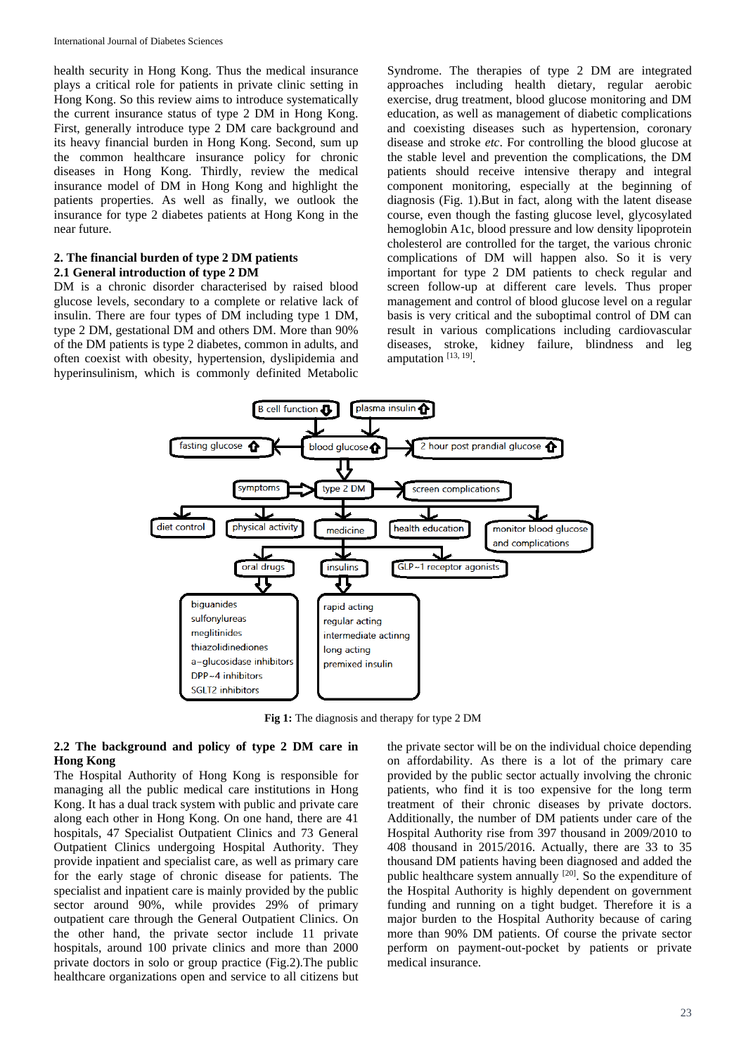health security in Hong Kong. Thus the medical insurance plays a critical role for patients in private clinic setting in Hong Kong. So this review aims to introduce systematically the current insurance status of type 2 DM in Hong Kong. First, generally introduce type 2 DM care background and its heavy financial burden in Hong Kong. Second, sum up the common healthcare insurance policy for chronic diseases in Hong Kong. Thirdly, review the medical insurance model of DM in Hong Kong and highlight the patients properties. As well as finally, we outlook the insurance for type 2 diabetes patients at Hong Kong in the near future.

#### **2. The financial burden of type 2 DM patients 2.1 General introduction of type 2 DM**

DM is a chronic disorder characterised by raised blood glucose levels, secondary to a complete or relative lack of insulin. There are four types of DM including type 1 DM, type 2 DM, gestational DM and others DM. More than 90% of the DM patients is type 2 diabetes, common in adults, and often coexist with obesity, hypertension, dyslipidemia and hyperinsulinism, which is commonly definited Metabolic

Syndrome. The therapies of type 2 DM are integrated approaches including health dietary, regular aerobic exercise, drug treatment, blood glucose monitoring and DM education, as well as management of diabetic complications and coexisting diseases such as hypertension, coronary disease and stroke *etc*. For controlling the blood glucose at the stable level and prevention the complications, the DM patients should receive intensive therapy and integral component monitoring, especially at the beginning of diagnosis (Fig. 1).But in fact, along with the latent disease course, even though the fasting glucose level, glycosylated hemoglobin A1c, blood pressure and low density lipoprotein cholesterol are controlled for the target, the various chronic complications of DM will happen also. So it is very important for type 2 DM patients to check regular and screen follow-up at different care levels. Thus proper management and control of blood glucose level on a regular basis is very critical and the suboptimal control of DM can result in various complications including cardiovascular diseases, stroke, kidney failure, blindness and leg amputation<sup>[13, 19]</sup>.



**Fig 1:** The diagnosis and therapy for type 2 DM

# **2.2 The background and policy of type 2 DM care in Hong Kong**

The Hospital Authority of Hong Kong is responsible for managing all the public medical care institutions in Hong Kong. It has a dual track system with public and private care along each other in Hong Kong. On one hand, there are 41 hospitals, 47 Specialist Outpatient Clinics and 73 General Outpatient Clinics undergoing Hospital Authority. They provide inpatient and specialist care, as well as primary care for the early stage of chronic disease for patients. The specialist and inpatient care is mainly provided by the public sector around 90%, while provides 29% of primary outpatient care through the General Outpatient Clinics. On the other hand, the private sector include 11 private hospitals, around 100 private clinics and more than 2000 private doctors in solo or group practice (Fig.2).The public healthcare organizations open and service to all citizens but

the private sector will be on the individual choice depending on affordability. As there is a lot of the primary care provided by the public sector actually involving the chronic patients, who find it is too expensive for the long term treatment of their chronic diseases by private doctors. Additionally, the number of DM patients under care of the Hospital Authority rise from 397 thousand in 2009/2010 to 408 thousand in 2015/2016. Actually, there are 33 to 35 thousand DM patients having been diagnosed and added the public healthcare system annually [20]. So the expenditure of the Hospital Authority is highly dependent on government funding and running on a tight budget. Therefore it is a major burden to the Hospital Authority because of caring more than 90% DM patients. Of course the private sector perform on payment-out-pocket by patients or private medical insurance.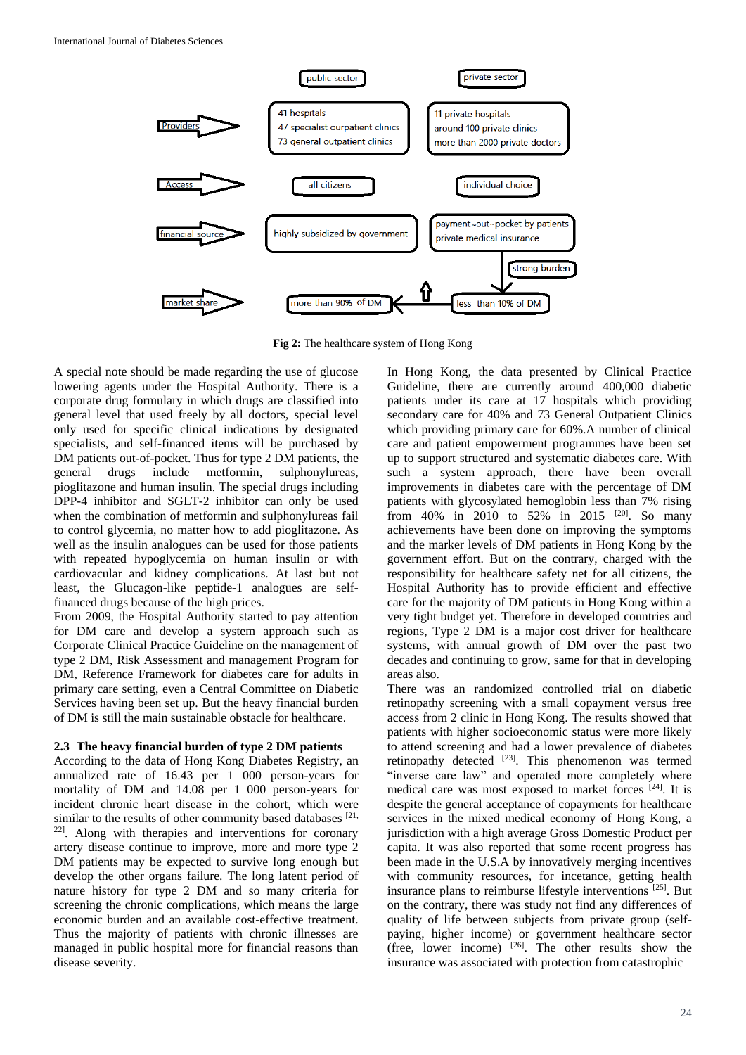

**Fig 2:** The healthcare system of Hong Kong

A special note should be made regarding the use of glucose lowering agents under the Hospital Authority. There is a corporate drug formulary in which drugs are classified into general level that used freely by all doctors, special level only used for specific clinical indications by designated specialists, and self-financed items will be purchased by DM patients out-of-pocket. Thus for type 2 DM patients, the general drugs include metformin, sulphonylureas, pioglitazone and human insulin. The special drugs including DPP-4 inhibitor and SGLT-2 inhibitor can only be used when the combination of metformin and sulphonylureas fail to control glycemia, no matter how to add pioglitazone. As well as the insulin analogues can be used for those patients with repeated hypoglycemia on human insulin or with cardiovacular and kidney complications. At last but not least, the Glucagon-like peptide-1 analogues are selffinanced drugs because of the high prices.

From 2009, the Hospital Authority started to pay attention for DM care and develop a system approach such as Corporate Clinical Practice Guideline on the management of type 2 DM, Risk Assessment and management Program for DM, Reference Framework for diabetes care for adults in primary care setting, even a Central Committee on Diabetic Services having been set up. But the heavy financial burden of DM is still the main sustainable obstacle for healthcare.

#### **2.3 The heavy financial burden of type 2 DM patients**

According to the data of Hong Kong Diabetes Registry, an annualized rate of 16.43 per 1 000 person-years for mortality of DM and 14.08 per 1 000 person-years for incident chronic heart disease in the cohort, which were similar to the results of other community based databases [21, 22] . Along with therapies and interventions for coronary artery disease continue to improve, more and more type 2 DM patients may be expected to survive long enough but develop the other organs failure. The long latent period of nature history for type 2 DM and so many criteria for screening the chronic complications, which means the large economic burden and an available cost-effective treatment. Thus the majority of patients with chronic illnesses are managed in public hospital more for financial reasons than disease severity.

In Hong Kong, the data presented by Clinical Practice Guideline, there are currently around 400,000 diabetic patients under its care at 17 hospitals which providing secondary care for 40% and 73 General Outpatient Clinics which providing primary care for 60%.A number of clinical care and patient empowerment programmes have been set up to support structured and systematic diabetes care. With such a system approach, there have been overall improvements in diabetes care with the percentage of DM patients with glycosylated hemoglobin less than 7% rising from 40% in 2010 to 52% in 2015 <sup>[20]</sup>. So many achievements have been done on improving the symptoms and the marker levels of DM patients in Hong Kong by the government effort. But on the contrary, charged with the responsibility for healthcare safety net for all citizens, the Hospital Authority has to provide efficient and effective care for the majority of DM patients in Hong Kong within a very tight budget yet. Therefore in developed countries and regions, Type 2 DM is a major cost driver for healthcare systems, with annual growth of DM over the past two decades and continuing to grow, same for that in developing areas also.

There was an randomized controlled trial on diabetic retinopathy screening with a small copayment versus free access from 2 clinic in Hong Kong. The results showed that patients with higher socioeconomic status were more likely to attend screening and had a lower prevalence of diabetes retinopathy detected  $[23]$ . This phenomenon was termed "inverse care law" and operated more completely where medical care was most exposed to market forces [24] . It is despite the general acceptance of copayments for healthcare services in the mixed medical economy of Hong Kong, a jurisdiction with a high average Gross Domestic Product per capita. It was also reported that some recent progress has been made in the U.S.A by innovatively merging incentives with community resources, for incetance, getting health insurance plans to reimburse lifestyle interventions <sup>[25]</sup>. But on the contrary, there was study not find any differences of quality of life between subjects from private group (selfpaying, higher income) or government healthcare sector (free, lower income)  $[26]$ . The other results show the insurance was associated with protection from catastrophic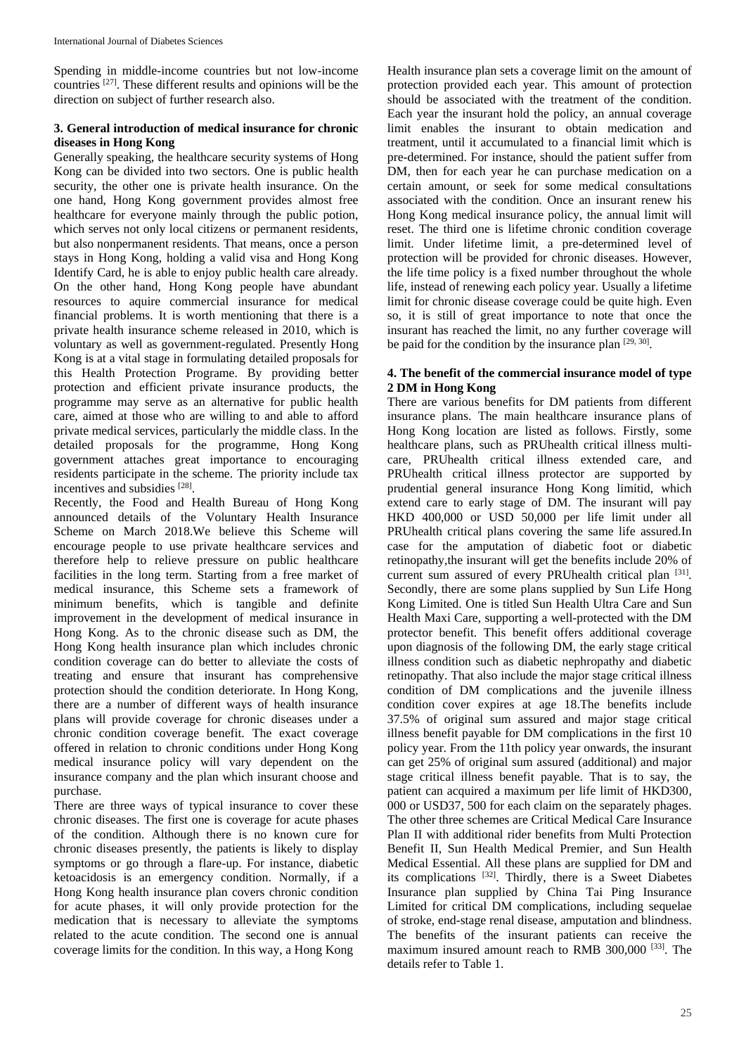Spending in middle-income countries but not low-income countries [27] . These different results and opinions will be the direction on subject of further research also.

## **3. General introduction of medical insurance for chronic diseases in Hong Kong**

Generally speaking, the healthcare security systems of Hong Kong can be divided into two sectors. One is public health security, the other one is private health insurance. On the one hand, Hong Kong government provides almost free healthcare for everyone mainly through the public potion, which serves not only local citizens or permanent residents, but also nonpermanent residents. That means, once a person stays in Hong Kong, holding a valid visa and Hong Kong Identify Card, he is able to enjoy public health care already. On the other hand, Hong Kong people have abundant resources to aquire commercial insurance for medical financial problems. It is worth mentioning that there is a private health insurance scheme released in 2010, which is voluntary as well as government-regulated. Presently Hong Kong is at a vital stage in formulating detailed proposals for this Health Protection Programe. By providing better protection and efficient private insurance products, the programme may serve as an alternative for public health care, aimed at those who are willing to and able to afford private medical services, particularly the middle class. In the detailed proposals for the programme, Hong Kong government attaches great importance to encouraging residents participate in the scheme. The priority include tax incentives and subsidies [28].

Recently, the Food and Health Bureau of Hong Kong announced details of the Voluntary Health Insurance Scheme on March 2018.We believe this Scheme will encourage people to use private healthcare services and therefore help to relieve pressure on public healthcare facilities in the long term. Starting from a free market of medical insurance, this Scheme sets a framework of minimum benefits, which is tangible and definite improvement in the development of medical insurance in Hong Kong. As to the chronic disease such as DM, the Hong Kong health insurance plan which includes chronic condition coverage can do better to alleviate the costs of treating and ensure that insurant has comprehensive protection should the condition deteriorate. In Hong Kong, there are a number of different ways of health insurance plans will provide coverage for chronic diseases under a chronic condition coverage benefit. The exact coverage offered in relation to chronic conditions under Hong Kong medical insurance policy will vary dependent on the insurance company and the plan which insurant choose and purchase.

There are three ways of typical insurance to cover these chronic diseases. The first one is coverage for acute phases of the condition. Although there is no known cure for chronic diseases presently, the patients is likely to display symptoms or go through a flare-up. For instance, diabetic ketoacidosis is an emergency condition. Normally, if a Hong Kong health insurance plan covers chronic condition for acute phases, it will only provide protection for the medication that is necessary to alleviate the symptoms related to the acute condition. The second one is annual coverage limits for the condition. In this way, a Hong Kong

Health insurance plan sets a coverage limit on the amount of protection provided each year. This amount of protection should be associated with the treatment of the condition. Each year the insurant hold the policy, an annual coverage limit enables the insurant to obtain medication and treatment, until it accumulated to a financial limit which is pre-determined. For instance, should the patient suffer from DM, then for each year he can purchase medication on a certain amount, or seek for some medical consultations associated with the condition. Once an insurant renew his Hong Kong medical insurance policy, the annual limit will reset. The third one is lifetime chronic condition coverage limit. Under lifetime limit, a pre-determined level of protection will be provided for chronic diseases. However, the life time policy is a fixed number throughout the whole life, instead of renewing each policy year. Usually a lifetime limit for chronic disease coverage could be quite high. Even so, it is still of great importance to note that once the insurant has reached the limit, no any further coverage will be paid for the condition by the insurance plan  $[29, 30]$ .

## **4. The benefit of the commercial insurance model of type 2 DM in Hong Kong**

There are various benefits for DM patients from different insurance plans. The main healthcare insurance plans of Hong Kong location are listed as follows. Firstly, some healthcare plans, such as PRUhealth critical illness multicare, PRUhealth critical illness extended care, and PRUhealth critical illness protector are supported by prudential general insurance Hong Kong limitid, which extend care to early stage of DM. The insurant will pay HKD 400,000 or USD 50,000 per life limit under all PRUhealth critical plans covering the same life assured.In case for the amputation of diabetic foot or diabetic retinopathy,the insurant will get the benefits include 20% of current sum assured of every PRUhealth critical plan [31]. Secondly, there are some plans supplied by Sun Life Hong Kong Limited. One is titled Sun Health Ultra Care and Sun Health Maxi Care, supporting a well-protected with the DM protector benefit. This benefit offers additional coverage upon diagnosis of the following DM, the early stage critical illness condition such as diabetic nephropathy and diabetic retinopathy. That also include the major stage critical illness condition of DM complications and the juvenile illness condition cover expires at age 18.The benefits include 37.5% of original sum assured and major stage critical illness benefit payable for DM complications in the first 10 policy year. From the 11th policy year onwards, the insurant can get 25% of original sum assured (additional) and major stage critical illness benefit payable. That is to say, the patient can acquired a maximum per life limit of HKD300, 000 or USD37, 500 for each claim on the separately phages. The other three schemes are Critical Medical Care Insurance Plan II with additional rider benefits from Multi Protection Benefit II, Sun Health Medical Premier, and Sun Health Medical Essential. All these plans are supplied for DM and its complications [32] . Thirdly, there is a Sweet Diabetes Insurance plan supplied by China Tai Ping Insurance Limited for critical DM complications, including sequelae of stroke, end-stage renal disease, amputation and blindness. The benefits of the insurant patients can receive the maximum insured amount reach to RMB 300,000<sup>[33]</sup>. The details refer to Table 1.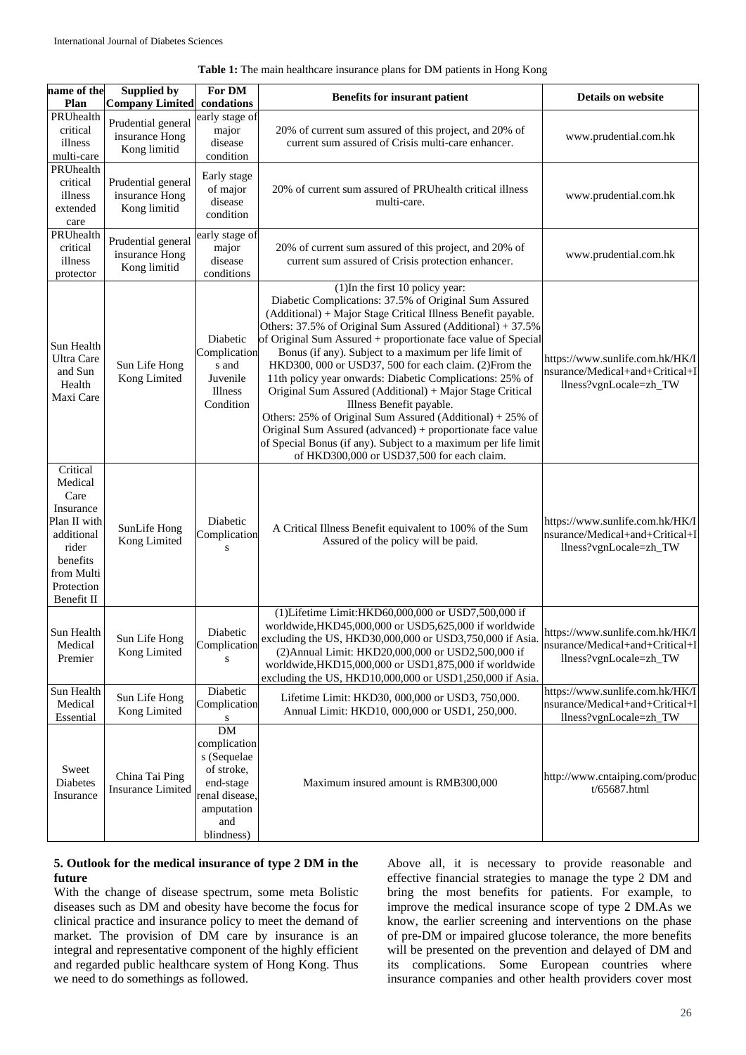| Table 1: The main healthcare insurance plans for DM patients in Hong Kong |  |  |  |
|---------------------------------------------------------------------------|--|--|--|
|---------------------------------------------------------------------------|--|--|--|

| name of the<br>Plan                                                                                                                   | <b>Supplied by</b><br><b>Company Limited</b>         | For DM<br>condations                                                                                                     | <b>Benefits for insurant patient</b>                                                                                                                                                                                                                                                                                                                                                                                                                                                                                                                                                                                                                                                                                                                                                                        | <b>Details on website</b>                                                                    |
|---------------------------------------------------------------------------------------------------------------------------------------|------------------------------------------------------|--------------------------------------------------------------------------------------------------------------------------|-------------------------------------------------------------------------------------------------------------------------------------------------------------------------------------------------------------------------------------------------------------------------------------------------------------------------------------------------------------------------------------------------------------------------------------------------------------------------------------------------------------------------------------------------------------------------------------------------------------------------------------------------------------------------------------------------------------------------------------------------------------------------------------------------------------|----------------------------------------------------------------------------------------------|
| PRUhealth<br>critical<br>illness<br>multi-care                                                                                        | Prudential general<br>insurance Hong<br>Kong limitid | early stage of<br>major<br>disease<br>condition                                                                          | 20% of current sum assured of this project, and 20% of<br>current sum assured of Crisis multi-care enhancer.                                                                                                                                                                                                                                                                                                                                                                                                                                                                                                                                                                                                                                                                                                | www.prudential.com.hk                                                                        |
| PRUhealth<br>critical<br>illness<br>extended<br>care                                                                                  | Prudential general<br>insurance Hong<br>Kong limitid | Early stage<br>of major<br>disease<br>condition                                                                          | 20% of current sum assured of PRUhealth critical illness<br>multi-care.                                                                                                                                                                                                                                                                                                                                                                                                                                                                                                                                                                                                                                                                                                                                     | www.prudential.com.hk                                                                        |
| PRUhealth<br>critical<br>illness<br>protector                                                                                         | Prudential general<br>insurance Hong<br>Kong limitid | early stage of<br>major<br>disease<br>conditions                                                                         | 20% of current sum assured of this project, and 20% of<br>current sum assured of Crisis protection enhancer.                                                                                                                                                                                                                                                                                                                                                                                                                                                                                                                                                                                                                                                                                                | www.prudential.com.hk                                                                        |
| Sun Health<br>Ultra Care<br>and Sun<br>Health<br>Maxi Care                                                                            | Sun Life Hong<br>Kong Limited                        | Diabetic<br>Complication<br>s and<br>Juvenile<br>Illness<br>Condition                                                    | (1) In the first 10 policy year:<br>Diabetic Complications: 37.5% of Original Sum Assured<br>(Additional) + Major Stage Critical Illness Benefit payable.<br>Others: 37.5% of Original Sum Assured (Additional) + 37.5%<br>of Original Sum Assured + proportionate face value of Special<br>Bonus (if any). Subject to a maximum per life limit of<br>HKD300, 000 or USD37, 500 for each claim. (2) From the<br>11th policy year onwards: Diabetic Complications: 25% of<br>Original Sum Assured (Additional) + Major Stage Critical<br>Illness Benefit payable.<br>Others: 25% of Original Sum Assured (Additional) + 25% of<br>Original Sum Assured (advanced) + proportionate face value<br>of Special Bonus (if any). Subject to a maximum per life limit<br>of HKD300,000 or USD37,500 for each claim. | https://www.sunlife.com.hk/HK/I<br>nsurance/Medical+and+Critical+I<br>llness?vgnLocale=zh_TW |
| Critical<br>Medical<br>Care<br>Insurance<br>Plan II with<br>additional<br>rider<br>benefits<br>from Multi<br>Protection<br>Benefit II | SunLife Hong<br>Kong Limited                         | Diabetic<br>Complication<br>S                                                                                            | A Critical Illness Benefit equivalent to 100% of the Sum<br>Assured of the policy will be paid.                                                                                                                                                                                                                                                                                                                                                                                                                                                                                                                                                                                                                                                                                                             | https://www.sunlife.com.hk/HK/I<br>nsurance/Medical+and+Critical+I<br>llness?vgnLocale=zh_TW |
| Sun Health<br>Medical<br>Premier                                                                                                      | Sun Life Hong<br>Kong Limited                        | Diabetic<br>Complication<br>S                                                                                            | (1)Lifetime Limit:HKD60,000,000 or USD7,500,000 if<br>worldwide, HKD45,000,000 or USD5,625,000 if worldwide<br>excluding the US, HKD30,000,000 or USD3,750,000 if Asia.<br>(2) Annual Limit: HKD20,000,000 or USD2,500,000 if<br>worldwide, HKD15,000,000 or USD1,875,000 if worldwide<br>excluding the US, HKD10,000,000 or USD1,250,000 if Asia.                                                                                                                                                                                                                                                                                                                                                                                                                                                          | https://www.sunlife.com.hk/HK/I<br>nsurance/Medical+and+Critical+I<br>llness?vgnLocale=zh_TW |
| Sun Health<br>Medical<br>Essential                                                                                                    | Sun Life Hong<br>Kong Limited                        | Diabetic<br>Complication<br>S                                                                                            | Lifetime Limit: HKD30, 000,000 or USD3, 750,000.<br>Annual Limit: HKD10, 000,000 or USD1, 250,000.                                                                                                                                                                                                                                                                                                                                                                                                                                                                                                                                                                                                                                                                                                          | https://www.sunlife.com.hk/HK/I<br>nsurance/Medical+and+Critical+I<br>llness?vgnLocale=zh_TW |
| Sweet<br><b>Diabetes</b><br>Insurance                                                                                                 | China Tai Ping<br><b>Insurance Limited</b>           | <b>DM</b><br>complication<br>s (Sequelae<br>of stroke,<br>end-stage<br>renal disease,<br>amputation<br>and<br>blindness) | Maximum insured amount is RMB300,000                                                                                                                                                                                                                                                                                                                                                                                                                                                                                                                                                                                                                                                                                                                                                                        | http://www.cntaiping.com/produc<br>t/65687.html                                              |

## **5. Outlook for the medical insurance of type 2 DM in the future**

With the change of disease spectrum, some meta Bolistic diseases such as DM and obesity have become the focus for clinical practice and insurance policy to meet the demand of market. The provision of DM care by insurance is an integral and representative component of the highly efficient and regarded public healthcare system of Hong Kong. Thus we need to do somethings as followed.

Above all, it is necessary to provide reasonable and effective financial strategies to manage the type 2 DM and bring the most benefits for patients. For example, to improve the medical insurance scope of type 2 DM.As we know, the earlier screening and interventions on the phase of pre-DM or impaired glucose tolerance, the more benefits will be presented on the prevention and delayed of DM and its complications. Some European countries where insurance companies and other health providers cover most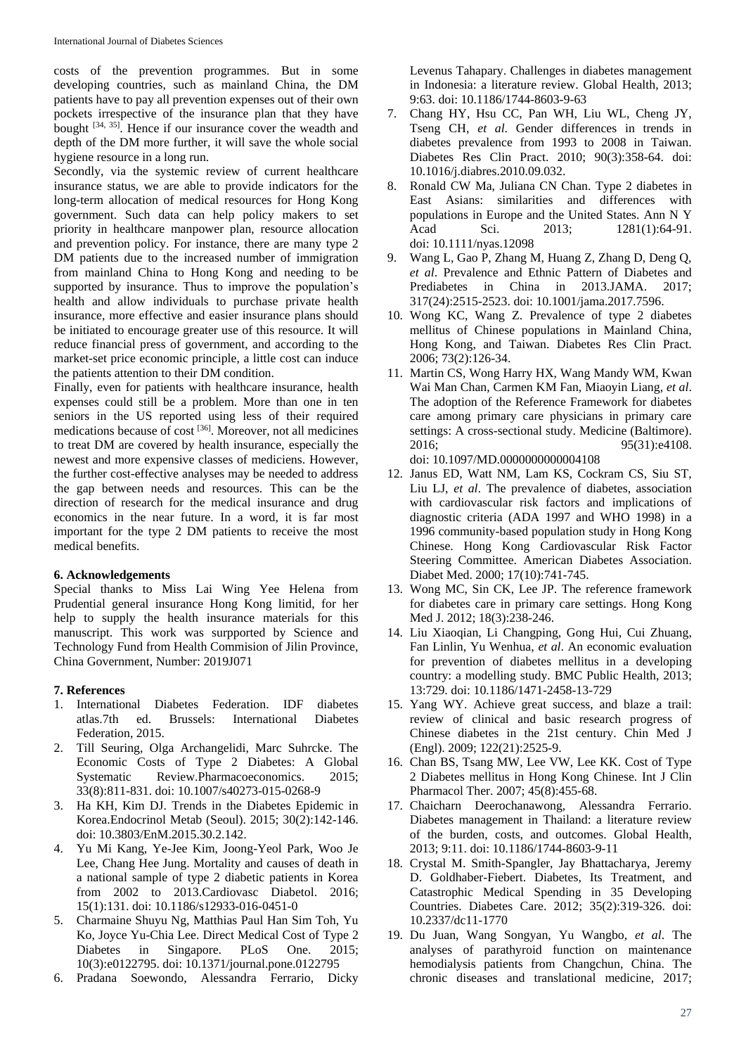costs of the prevention programmes. But in some developing countries, such as mainland China, the DM patients have to pay all prevention expenses out of their own pockets irrespective of the insurance plan that they have bought  $[34, 35]$ . Hence if our insurance cover the weadth and depth of the DM more further, it will save the whole social hygiene resource in a long run.

Secondly, via the systemic review of current healthcare insurance status, we are able to provide indicators for the long-term allocation of medical resources for Hong Kong government. Such data can help policy makers to set priority in healthcare manpower plan, resource allocation and prevention policy. For instance, there are many type 2 DM patients due to the increased number of immigration from mainland China to Hong Kong and needing to be supported by insurance. Thus to improve the population's health and allow individuals to purchase private health insurance, more effective and easier insurance plans should be initiated to encourage greater use of this resource. It will reduce financial press of government, and according to the market-set price economic principle, a little cost can induce the patients attention to their DM condition.

Finally, even for patients with healthcare insurance, health expenses could still be a problem. More than one in ten seniors in the US reported using less of their required medications because of cost <a>[36]</a>. Moreover, not all medicines to treat DM are covered by health insurance, especially the newest and more expensive classes of mediciens. However, the further cost-effective analyses may be needed to address the gap between needs and resources. This can be the direction of research for the medical insurance and drug economics in the near future. In a word, it is far most important for the type 2 DM patients to receive the most medical benefits.

## **6. Acknowledgements**

Special thanks to Miss Lai Wing Yee Helena from Prudential general insurance Hong Kong limitid, for her help to supply the health insurance materials for this manuscript. This work was surpported by Science and Technology Fund from Health Commision of Jilin Province, China Government, Number: 2019J071

## **7. References**

- 1. International Diabetes Federation. IDF diabetes atlas.7th ed. Brussels: International Diabetes Federation, 2015.
- 2. Till Seuring, Olga Archangelidi, Marc Suhrcke. The Economic Costs of Type 2 Diabetes: A Global Systematic Review.Pharmacoeconomics. 2015; 33(8):811-831. doi: 10.1007/s40273-015-0268-9
- 3. Ha KH, Kim DJ. Trends in the Diabetes Epidemic in Korea.Endocrinol Metab (Seoul). 2015; 30(2):142-146. doi: 10.3803/EnM.2015.30.2.142.
- 4. Yu Mi Kang, Ye-Jee Kim, Joong-Yeol Park, Woo Je Lee, Chang Hee Jung. Mortality and causes of death in a national sample of type 2 diabetic patients in Korea from 2002 to 2013.Cardiovasc Diabetol. 2016; 15(1):131. doi: 10.1186/s12933-016-0451-0
- 5. Charmaine Shuyu Ng, Matthias Paul Han Sim Toh, Yu Ko, Joyce Yu-Chia Lee. Direct Medical Cost of Type 2 Diabetes in Singapore. PLoS One. 2015; 10(3):e0122795. doi: 10.1371/journal.pone.0122795
- 6. Pradana Soewondo, Alessandra Ferrario, Dicky

Levenus Tahapary. Challenges in diabetes management in Indonesia: a literature review. Global Health, 2013; 9:63. doi: 10.1186/1744-8603-9-63

- 7. Chang HY, Hsu CC, Pan WH, Liu WL, Cheng JY, Tseng CH, *et al*. Gender differences in trends in diabetes prevalence from 1993 to 2008 in Taiwan. Diabetes Res Clin Pract. 2010; 90(3):358-64. doi: 10.1016/j.diabres.2010.09.032.
- 8. Ronald CW Ma, Juliana CN Chan. Type 2 diabetes in East Asians: similarities and differences with populations in Europe and the United States. Ann N Y Acad Sci. 2013: 1281(1):64-91. doi: 10.1111/nyas.12098
- 9. Wang L, Gao P, Zhang M, Huang Z, Zhang D, Deng Q, *et al*. Prevalence and Ethnic Pattern of Diabetes and Prediabetes in China in 2013.JAMA. 2017; 317(24):2515-2523. doi: 10.1001/jama.2017.7596.
- 10. Wong KC, Wang Z. Prevalence of type 2 diabetes mellitus of Chinese populations in Mainland China, Hong Kong, and Taiwan. Diabetes Res Clin Pract. 2006; 73(2):126-34.
- 11. Martin CS, Wong Harry HX, Wang Mandy WM, Kwan Wai Man Chan, Carmen KM Fan, Miaoyin Liang, *et al*. The adoption of the Reference Framework for diabetes care among primary care physicians in primary care settings: A cross-sectional study. Medicine (Baltimore). 2016; 95(31):e4108. doi: 10.1097/MD.0000000000004108
- 12. Janus ED, Watt NM, Lam KS, Cockram CS, Siu ST, Liu LJ, *et al*. The prevalence of diabetes, association with cardiovascular risk factors and implications of diagnostic criteria (ADA 1997 and WHO 1998) in a 1996 community-based population study in Hong Kong Chinese. Hong Kong Cardiovascular Risk Factor Steering Committee. American Diabetes Association. Diabet Med. 2000; 17(10):741-745.
- 13. Wong MC, Sin CK, Lee JP. The reference framework for diabetes care in primary care settings. Hong Kong Med J. 2012; 18(3):238-246.
- 14. Liu Xiaoqian, Li Changping, Gong Hui, Cui Zhuang, Fan Linlin, Yu Wenhua, *et al*. An economic evaluation for prevention of diabetes mellitus in a developing country: a modelling study. BMC Public Health, 2013; 13:729. doi: 10.1186/1471-2458-13-729
- 15. Yang WY. Achieve great success, and blaze a trail: review of clinical and basic research progress of Chinese diabetes in the 21st century. Chin Med J (Engl). 2009; 122(21):2525-9.
- 16. Chan BS, Tsang MW, Lee VW, Lee KK. Cost of Type 2 Diabetes mellitus in Hong Kong Chinese. Int J Clin Pharmacol Ther. 2007; 45(8):455-68.
- 17. Chaicharn Deerochanawong, Alessandra Ferrario. Diabetes management in Thailand: a literature review of the burden, costs, and outcomes. Global Health, 2013; 9:11. doi: 10.1186/1744-8603-9-11
- 18. Crystal M. Smith-Spangler, Jay Bhattacharya, Jeremy D. Goldhaber-Fiebert. Diabetes, Its Treatment, and Catastrophic Medical Spending in 35 Developing Countries. Diabetes Care. 2012; 35(2):319-326. doi: 10.2337/dc11-1770
- 19. Du Juan, Wang Songyan, Yu Wangbo, *et al*. The analyses of parathyroid function on maintenance hemodialysis patients from Changchun, China. The chronic diseases and translational medicine, 2017;